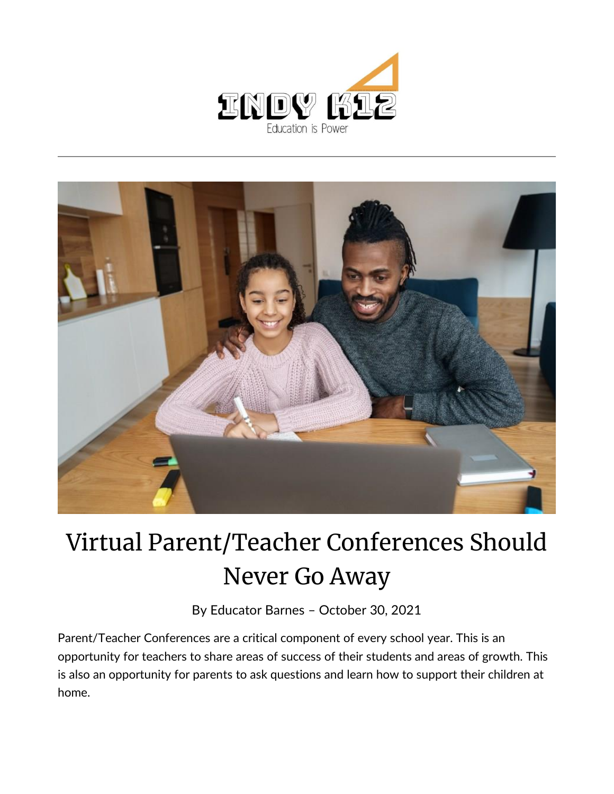



## Virtual Parent/Teacher Conferences Should Never Go Away

By [Educator Barnes](https://indy.education/author/shicole/) – October 30, 2021

Parent/Teacher Conferences are a critical component of every school year. This is an opportunity for teachers to share areas of success of their students and areas of growth. This is also an opportunity for parents to ask questions and learn how to support their children at home.